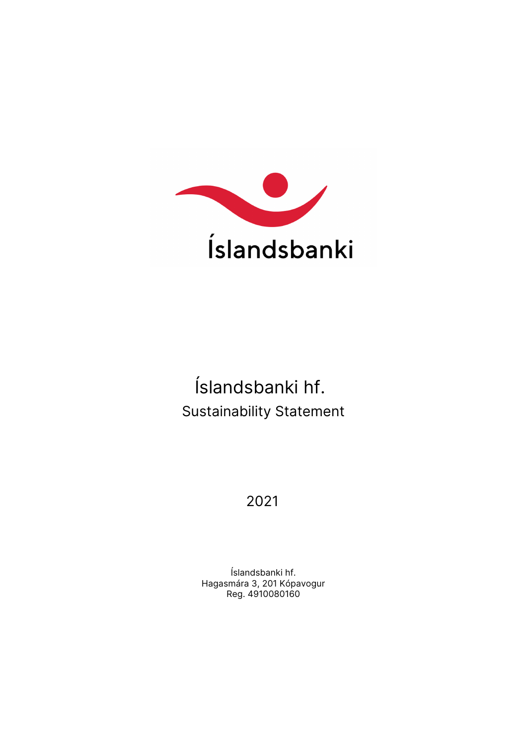

# **Íslandsbanki hf.** Sustainability Statement

# **2021**

Hagasmára 3, 201 Kópavogur Íslandsbanki hf. Reg. 4910080160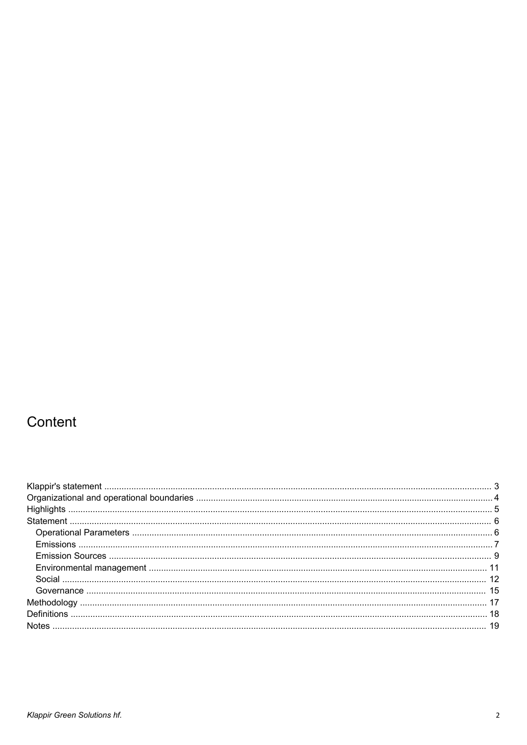# Content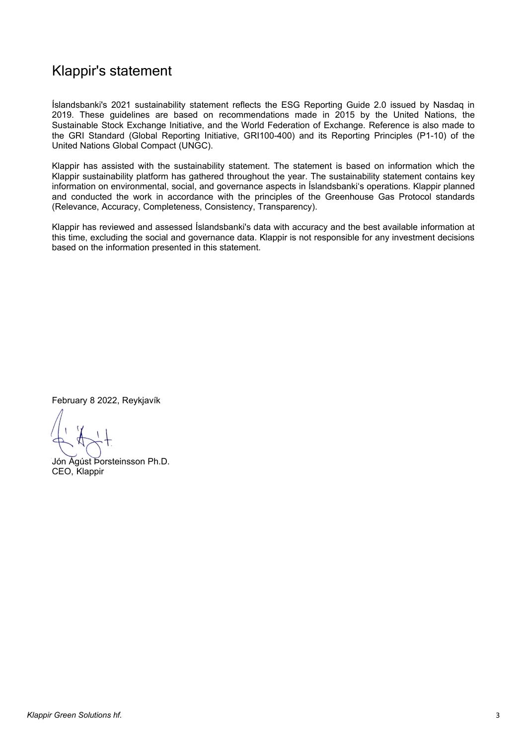### <span id="page-2-0"></span>Klappir's statement

Íslandsbanki's 2021 sustainability statement reflects the ESG Reporting Guide 2.0 issued by Nasdaq in 2019. These guidelines are based on recommendations made in 2015 by the United Nations, the Sustainable Stock Exchange Initiative, and the World Federation of Exchange. Reference is also made to the GRI Standard (Global Reporting Initiative, GRI100-400) and its Reporting Principles (P1-10) of the United Nations Global Compact (UNGC).

Klappir has assisted with the sustainability statement. The statement is based on information which the Klappir sustainability platform has gathered throughout the year. The sustainability statement contains key information on environmental, social, and governance aspects in Íslandsbanki's operations. Klappir planned and conducted the work in accordance with the principles of the Greenhouse Gas Protocol standards (Relevance, Accuracy, Completeness, Consistency, Transparency).

Klappir has reviewed and assessed Íslandsbanki's data with accuracy and the best available information at this time, excluding the social and governance data. Klappir is not responsible for any investment decisions based on the information presented in this statement.

February 8 2022, Reykjavík

Jón Ágúst Þorsteinsson Ph.D. CEO, Klappir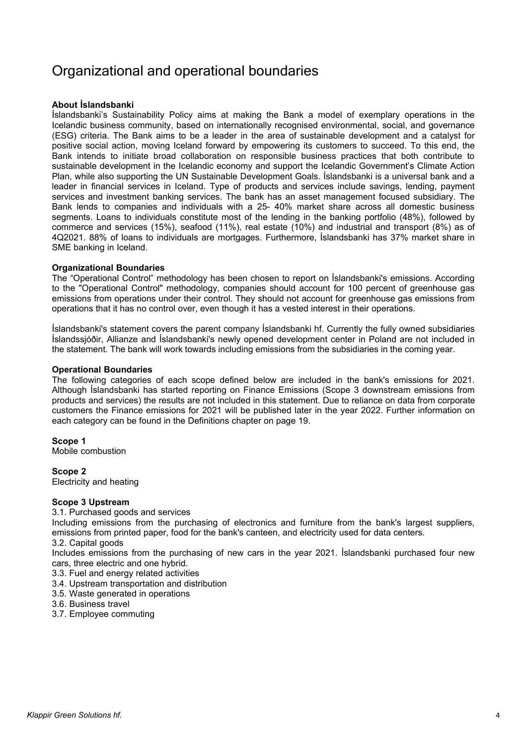### <span id="page-3-0"></span>Organizational and operational boundaries

#### **About Íslandsbanki**

Íslandsbanki's Sustainability Policy aims at making the Bank a model of exemplary operations in the Icelandic business community, based on internationally recognised environmental, social, and governance (ESG) criteria. The Bank aims to be a leader in the area of sustainable development and a catalyst for positive social action, moving Iceland forward by empowering its customers to succeed. To this end, the Bank intends to initiate broad collaboration on responsible business practices that both contribute to sustainable development in the Icelandic economy and support the Icelandic Government's Climate Action Plan, while also supporting the UN Sustainable Development Goals. Íslandsbanki is a universal bank and a leader in financial services in Iceland. Type of products and services include savings, lending, payment services and investment banking services. The bank has an asset management focused subsidiary. The Bank lends to companies and individuals with a 25- 40% market share across all domestic business segments. Loans to individuals constitute most of the lending in the banking portfolio (48%), followed by commerce and services (15%), seafood (11%), real estate (10%) and industrial and transport (8%) as of 4Q2021. 88% of loans to individuals are mortgages. Furthermore, Íslandsbanki has 37% market share in SME banking in Iceland.

#### **Organizational Boundaries**

The "Operational Control" methodology has been chosen to report on Íslandsbanki's emissions. According to the "Operational Control" methodology, companies should account for 100 percent of greenhouse gas emissions from operations under their control. They should not account for greenhouse gas emissions from operations that it has no control over, even though it has a vested interest in their operations.

Íslandsbanki's statement covers the parent company Íslandsbanki hf. Currently the fully owned subsidiaries Íslandssjóðir, Allianze and Íslandsbanki's newly opened development center in Poland are not included in the statement. The bank will work towards including emissions from the subsidiaries in the coming year.

#### **Operational Boundaries**

The following categories of each scope defined below are included in the bank's emissions for 2021. Although Íslandsbanki has started reporting on Finance Emissions (Scope 3 downstream emissions from products and services) the results are not included in this statement. Due to reliance on data from corporate customers the Finance emissions for 2021 will be published later in the year 2022. Further information on each category can be found in the Definitions chapter on page 19.

**Scope 1** Mobile combustion

**Scope 2** Electricity and heating

#### **Scope 3 Upstream**

3.1. Purchased goods and services

Including emissions from the purchasing of electronics and furniture from the bank's largest suppliers, emissions from printed paper, food for the bank's canteen, and electricity used for data centers. 3.2. Capital goods

Includes emissions from the purchasing of new cars in the year 2021. Íslandsbanki purchased four new cars, three electric and one hybrid.

- 3.3. Fuel and energy related activities
- 3.4. Upstream transportation and distribution
- 3.5. Waste generated in operations
- 3.6. Business travel
- 3.7. Employee commuting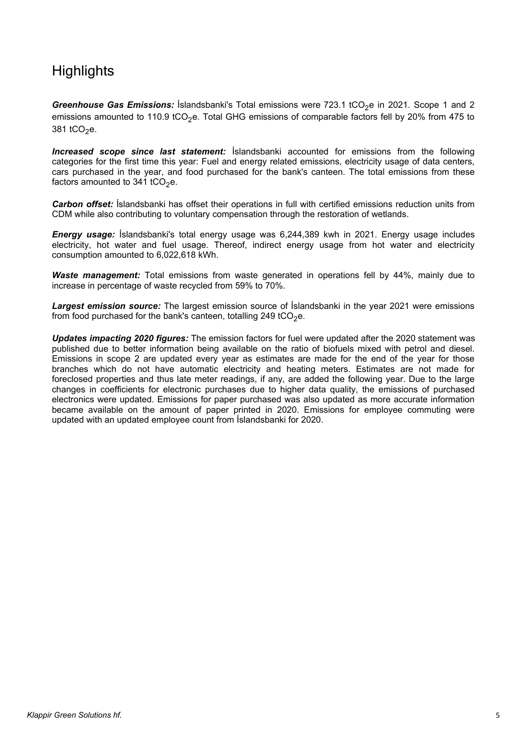# <span id="page-4-0"></span>**Highlights**

*Greenhouse Gas Emissions:* Íslandsbanki's Total emissions were 723.1 tCO<sub>2</sub>e in 2021. Scope 1 and 2 emissions amounted to 110.9 tCO<sub>2</sub>e. Total GHG emissions of comparable factors fell by 20% from 475 to 381 tCO<sub>2</sub>e.

*Increased scope since last statement:* Íslandsbanki accounted for emissions from the following categories for the first time this year: Fuel and energy related emissions, electricity usage of data centers, cars purchased in the year, and food purchased for the bank's canteen. The total emissions from these factors amounted to 341 tCO<sub>2</sub>e.

*Carbon offset:* Íslandsbanki has offset their operations in full with certified emissions reduction units from CDM while also contributing to voluntary compensation through the restoration of wetlands.

*Energy usage:* Íslandsbanki's total energy usage was 6,244,389 kwh in 2021. Energy usage includes electricity, hot water and fuel usage. Thereof, indirect energy usage from hot water and electricity consumption amounted to 6,022,618 kWh.

*Waste management:* Total emissions from waste generated in operations fell by 44%, mainly due to increase in percentage of waste recycled from 59% to 70%.

*Largest emission source:* The largest emission source of Íslandsbanki in the year 2021 were emissions from food purchased for the bank's canteen, totalling 249 tCO<sub>2</sub>e.

*Updates impacting 2020 figures:* The emission factors for fuel were updated after the 2020 statement was published due to better information being available on the ratio of biofuels mixed with petrol and diesel. Emissions in scope 2 are updated every year as estimates are made for the end of the year for those branches which do not have automatic electricity and heating meters. Estimates are not made for foreclosed properties and thus late meter readings, if any, are added the following year. Due to the large changes in coefficients for electronic purchases due to higher data quality, the emissions of purchased electronics were updated. Emissions for paper purchased was also updated as more accurate information became available on the amount of paper printed in 2020. Emissions for employee commuting were updated with an updated employee count from Íslandsbanki for 2020.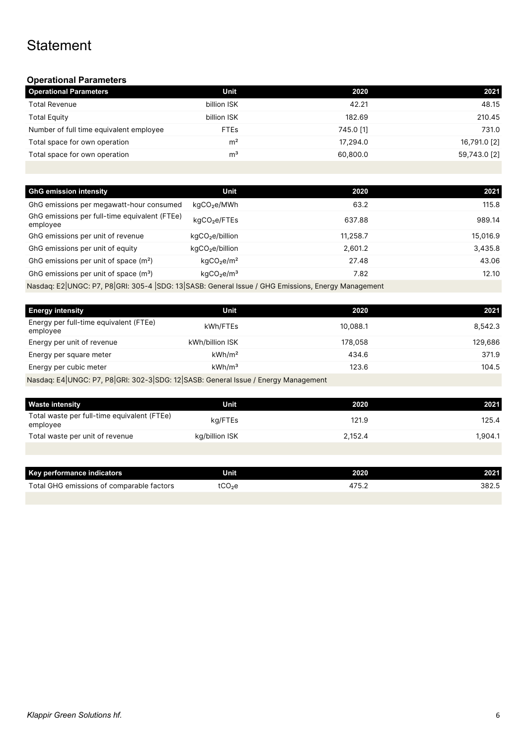# <span id="page-5-1"></span><span id="page-5-0"></span>**Statement**

#### **Operational Parameters**

| <b>Operational Parameters</b>           | Unit           | 2020      | 2021         |
|-----------------------------------------|----------------|-----------|--------------|
| <b>Total Revenue</b>                    | billion ISK    | 42.21     | 48.15        |
| <b>Total Equity</b>                     | billion ISK    | 182.69    | 210.45       |
| Number of full time equivalent employee | <b>FTEs</b>    | 745.0 [1] | 731.0        |
| Total space for own operation           | m <sup>2</sup> | 17,294.0  | 16,791.0 [2] |
| Total space for own operation           | m <sup>3</sup> | 60.800.0  | 59,743.0 [2] |
|                                         |                |           |              |

| <b>GhG emission intensity</b>                                                                         | Unit                               | 2020     | 2021     |
|-------------------------------------------------------------------------------------------------------|------------------------------------|----------|----------|
| GhG emissions per megawatt-hour consumed                                                              | kgCO <sub>2</sub> e/MWh            | 63.2     | 115.8    |
| GhG emissions per full-time equivalent (FTEe)<br>employee                                             | kgCO <sub>2</sub> e/FTEs           | 637.88   | 989.14   |
| GhG emissions per unit of revenue                                                                     | kgCO <sub>2</sub> e/billion        | 11.258.7 | 15,016.9 |
| GhG emissions per unit of equity                                                                      | kgCO <sub>2</sub> e/billion        | 2,601.2  | 3,435.8  |
| GhG emissions per unit of space (m <sup>2</sup> )                                                     | kqCO <sub>2</sub> e/m <sup>2</sup> | 27.48    | 43.06    |
| GhG emissions per unit of space $(m3)$                                                                | kqCO <sub>2</sub> e/m <sup>3</sup> | 7.82     | 12.10    |
| Needee, Fail INCC: D7, Dalchi, 205, 4 JCDC: 12 CACD: Ceneral Jesus / CUC Emissione, Freray Mensgement |                                    |          |          |

Nasdaq: E2|UNGC: P7, P8|GRI: 305-4 |SDG: 13|SASB: General Issue / GHG Emissions, Energy Management

| <b>Energy intensity</b>                                                            | Unit               | 2020     | 2021    |
|------------------------------------------------------------------------------------|--------------------|----------|---------|
| Energy per full-time equivalent (FTEe)<br>employee                                 | kWh/FTEs           | 10.088.1 | 8.542.3 |
| Energy per unit of revenue                                                         | kWh/billion ISK    | 178.058  | 129,686 |
| Energy per square meter                                                            | kWh/m <sup>2</sup> | 434.6    | 371.9   |
| Energy per cubic meter                                                             | kWh/m <sup>3</sup> | 123.6    | 104.5   |
| Nasdaq: E4 UNGC: P7, P8 GRI: 302-3 SDG: 12 SASB: General Issue / Energy Management |                    |          |         |

| <b>Waste intensity</b>                                  | Unit           | 2020    | 2021    |
|---------------------------------------------------------|----------------|---------|---------|
| Total waste per full-time equivalent (FTEe)<br>employee | kg/FTEs        | 121.9   | 125.4   |
| Total waste per unit of revenue                         | kg/billion ISK | 2.152.4 | 1.904.1 |
|                                                         |                |         |         |

| Key performance indicators                | Unit  | 2020 | 2021  |
|-------------------------------------------|-------|------|-------|
| Total GHG emissions of comparable factors | .CO2e | ، ب  | 382.5 |
|                                           |       |      |       |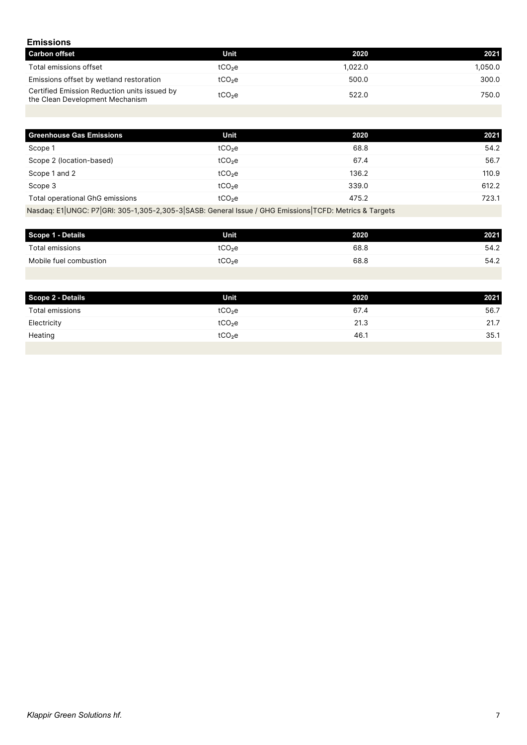#### <span id="page-6-0"></span>**Emissions**

| <b>Carbon offset</b>                                                            | Unit               | 2020    | 2021    |
|---------------------------------------------------------------------------------|--------------------|---------|---------|
| Total emissions offset                                                          | tCO <sub>2</sub> e | 1.022.0 | 1.050.0 |
| Emissions offset by wetland restoration                                         | tCO <sub>2</sub> e | 500.0   | 300.0   |
| Certified Emission Reduction units issued by<br>the Clean Development Mechanism | tCO <sub>2</sub> e | 522.0   | 750.0   |

| <b>Greenhouse Gas Emissions</b> | Unit               | 2020  | 2021  |
|---------------------------------|--------------------|-------|-------|
| Scope 1                         | tCO <sub>2</sub> e | 68.8  | 54.2  |
| Scope 2 (location-based)        | tCO <sub>2</sub> e | 67.4  | 56.7  |
| Scope 1 and 2                   | tCO <sub>2</sub> e | 136.2 | 110.9 |
| Scope 3                         | tCO <sub>2</sub> e | 339.0 | 612.2 |
| Total operational GhG emissions | tCO <sub>2</sub> e | 475.2 | 723.1 |

Nasdaq: E1|UNGC: P7|GRI: 305-1,305-2,305-3|SASB: General Issue / GHG Emissions|TCFD: Metrics & Targets

| Scope 1 - Details      | Unit               | 2020 | 2021 |
|------------------------|--------------------|------|------|
| Total emissions        | tCO <sub>2</sub> e | 68.8 | 54.2 |
| Mobile fuel combustion | tCO <sub>2</sub> e | 68.8 | 54.2 |

| Scope 2 - Details | <b>Unit</b>        | 2020 | 2021 |
|-------------------|--------------------|------|------|
| Total emissions   | tCO <sub>2</sub> e | 67.4 | 56.7 |
| Electricity       | tCO <sub>2</sub> e | 21.3 | 21.7 |
| Heating           | tCO <sub>2</sub> e | 46.1 | 35.1 |
|                   |                    |      |      |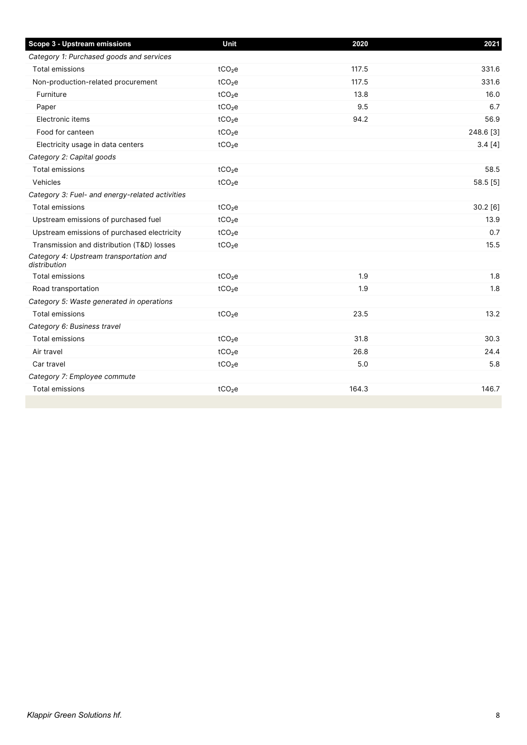| Scope 3 - Upstream emissions                            | Unit               | 2020  | 2021      |
|---------------------------------------------------------|--------------------|-------|-----------|
| Category 1: Purchased goods and services                |                    |       |           |
| Total emissions                                         | tCO <sub>2</sub> e | 117.5 | 331.6     |
| Non-production-related procurement                      | tCO <sub>2</sub> e | 117.5 | 331.6     |
| Furniture                                               | tCO <sub>2</sub> e | 13.8  | 16.0      |
| Paper                                                   | tCO <sub>2</sub> e | 9.5   | 6.7       |
| Electronic items                                        | tCO <sub>2</sub> e | 94.2  | 56.9      |
| Food for canteen                                        | tCO <sub>2</sub> e |       | 248.6 [3] |
| Electricity usage in data centers                       | tCO <sub>2</sub> e |       | 3.4[4]    |
| Category 2: Capital goods                               |                    |       |           |
| <b>Total emissions</b>                                  | tCO <sub>2</sub> e |       | 58.5      |
| Vehicles                                                | tCO <sub>2</sub> e |       | 58.5 [5]  |
| Category 3: Fuel- and energy-related activities         |                    |       |           |
| <b>Total emissions</b>                                  | tCO <sub>2</sub> e |       | 30.2 [6]  |
| Upstream emissions of purchased fuel                    | tCO <sub>2</sub> e |       | 13.9      |
| Upstream emissions of purchased electricity             | tCO <sub>2</sub> e |       | 0.7       |
| Transmission and distribution (T&D) losses              | tCO <sub>2</sub> e |       | 15.5      |
| Category 4: Upstream transportation and<br>distribution |                    |       |           |
| <b>Total emissions</b>                                  | tCO <sub>2</sub> e | 1.9   | 1.8       |
| Road transportation                                     | tCO <sub>2</sub> e | 1.9   | 1.8       |
| Category 5: Waste generated in operations               |                    |       |           |
| <b>Total emissions</b>                                  | tCO <sub>2</sub> e | 23.5  | 13.2      |
| Category 6: Business travel                             |                    |       |           |
| <b>Total emissions</b>                                  | tCO <sub>2</sub> e | 31.8  | 30.3      |
| Air travel                                              | tCO <sub>2</sub> e | 26.8  | 24.4      |
| Car travel                                              | tCO <sub>2</sub> e | 5.0   | 5.8       |
| Category 7: Employee commute                            |                    |       |           |
| <b>Total emissions</b>                                  | tCO <sub>2</sub> e | 164.3 | 146.7     |
|                                                         |                    |       |           |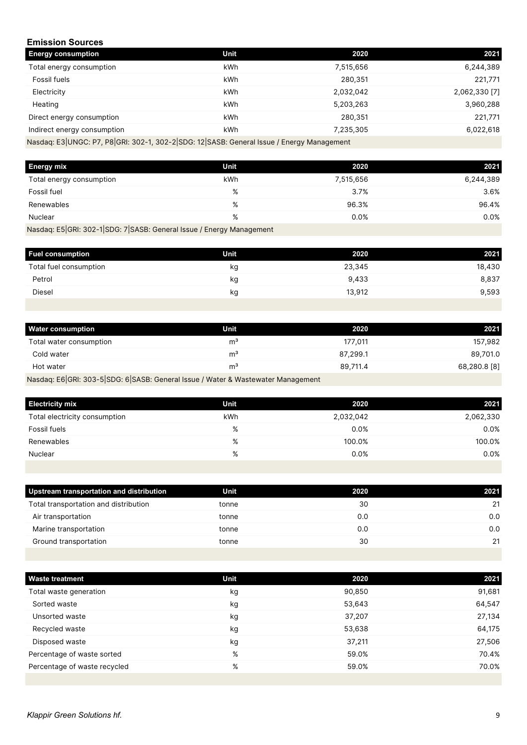#### <span id="page-8-0"></span>**Emission Sources**

| <b>Energy consumption</b>                                                                 | <b>Unit</b> | 2020      | 2021          |  |
|-------------------------------------------------------------------------------------------|-------------|-----------|---------------|--|
| Total energy consumption                                                                  | kWh         | 7,515,656 | 6,244,389     |  |
| Fossil fuels                                                                              | kWh         | 280,351   | 221,771       |  |
| Electricity                                                                               | kWh         | 2,032,042 | 2,062,330 [7] |  |
| Heating                                                                                   | kWh         | 5,203,263 | 3,960,288     |  |
| Direct energy consumption                                                                 | kWh         | 280,351   | 221,771       |  |
| Indirect energy consumption                                                               | kWh         | 7,235,305 | 6,022,618     |  |
| Nasdaq: E3 UNGC: P7, P8 GRI: 302-1, 302-2 SDG: 12 SASB: General Issue / Energy Management |             |           |               |  |

| <b>Energy mix</b>        | Unit | 2020      | 2021      |
|--------------------------|------|-----------|-----------|
| Total energy consumption | kWh  | 7,515,656 | 6,244,389 |
| Fossil fuel              | %    | 3.7%      | 3.6%      |
| Renewables               | %    | 96.3%     | 96.4%     |
| Nuclear                  | %    | 0.0%      | 0.0%      |
|                          |      |           |           |

Nasdaq: E5|GRI: 302-1|SDG: 7|SASB: General Issue / Energy Management

| <b>Fuel consumption</b> | Unit | 2020   | 2021   |
|-------------------------|------|--------|--------|
| Total fuel consumption  | kg   | 23,345 | 18,430 |
| Petrol                  | kg   | 9,433  | 8,837  |
| <b>Diesel</b>           | kg   | 13,912 | 9,593  |
|                         |      |        |        |

| <b>Water consumption</b> | Unit           | 2020     | 2021         |
|--------------------------|----------------|----------|--------------|
| Total water consumption  | m              | 177.011  | 157,982      |
| Cold water               | m              | 87.299.1 | 89,701.0     |
| Hot water                | m <sup>3</sup> | 89,711.4 | 68,280.8 [8] |
|                          |                |          |              |

Nasdaq: E6|GRI: 303-5|SDG: 6|SASB: General Issue / Water & Wastewater Management

| <b>Electricity mix</b>        | Unit | 2020      | 2021      |
|-------------------------------|------|-----------|-----------|
| Total electricity consumption | kWh  | 2,032,042 | 2,062,330 |
| Fossil fuels                  | %    | 0.0%      | 0.0%      |
| Renewables                    | %    | 100.0%    | 100.0%    |
| Nuclear                       | %    | 0.0%      | 0.0%      |
|                               |      |           |           |

| Upstream transportation and distribution | Unit  | 2020 | 2021 |
|------------------------------------------|-------|------|------|
| Total transportation and distribution    | tonne | 30   | 21   |
| Air transportation                       | tonne | 0.0  | 0.0  |
| Marine transportation                    | tonne | 0.0  | 0.0  |
| Ground transportation                    | tonne | 30   | 21   |
|                                          |       |      |      |

| <b>Waste treatment</b>       | <b>Unit</b> | 2020   | 2021   |
|------------------------------|-------------|--------|--------|
| Total waste generation       | kg          | 90,850 | 91,681 |
| Sorted waste                 | kg          | 53,643 | 64,547 |
| Unsorted waste               | kg          | 37,207 | 27,134 |
| Recycled waste               | kg          | 53,638 | 64,175 |
| Disposed waste               | kg          | 37,211 | 27,506 |
| Percentage of waste sorted   | %           | 59.0%  | 70.4%  |
| Percentage of waste recycled | %           | 59.0%  | 70.0%  |
|                              |             |        |        |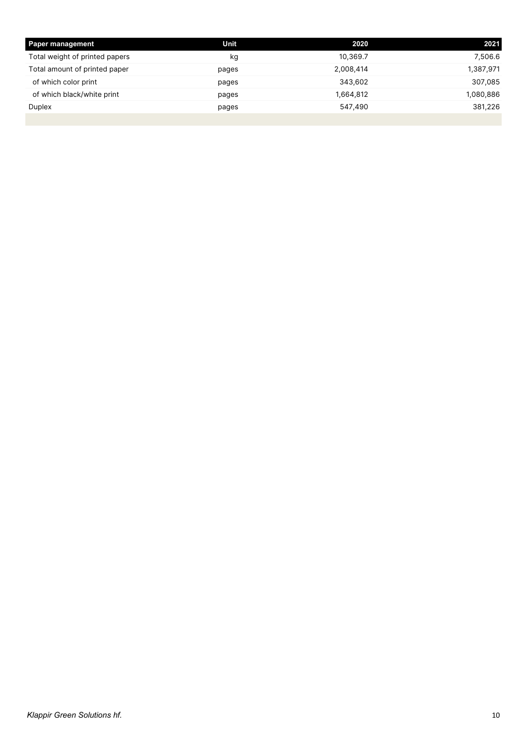| <b>Paper management</b>        | Unit  | 2020      | 2021      |
|--------------------------------|-------|-----------|-----------|
| Total weight of printed papers | kg    | 10,369.7  | 7,506.6   |
| Total amount of printed paper  | pages | 2,008,414 | 1,387,971 |
| of which color print           | pages | 343.602   | 307,085   |
| of which black/white print     | pages | 1,664,812 | 1,080,886 |
| Duplex                         | pages | 547,490   | 381,226   |
|                                |       |           |           |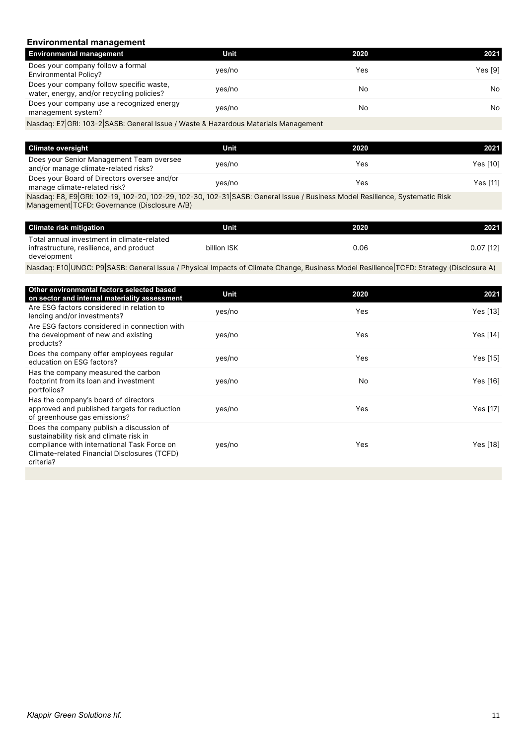#### <span id="page-10-0"></span>**Environmental management**

| <b>Environmental management</b>                                                       | Unit   | 2020 | 2021    |
|---------------------------------------------------------------------------------------|--------|------|---------|
| Does your company follow a formal<br><b>Environmental Policy?</b>                     | yes/no | Yes  | Yes [9] |
| Does your company follow specific waste.<br>water, energy, and/or recycling policies? | yes/no | No   | No.     |
| Does your company use a recognized energy<br>management system?                       | yes/no | No   | No.     |
| Nasdaq: E7 GRI: 103-2 SASB: General Issue / Waste & Hazardous Materials Management    |        |      |         |

| <b>Climate oversight</b>                                                         | Unit   | 2020 | 2021     |
|----------------------------------------------------------------------------------|--------|------|----------|
| Does your Senior Management Team oversee<br>and/or manage climate-related risks? | yes/no | Yes  | Yes [10] |
| Does your Board of Directors oversee and/or<br>manage climate-related risk?      | yes/no | Yes  | Yes [11] |

Nasdaq: E8, E9|GRI: 102-19, 102-20, 102-29, 102-30, 102-31|SASB: General Issue / Business Model Resilience, Systematic Risk Management|TCFD: Governance (Disclosure A/B)

| <b>Climate risk mitigation</b>                                                                       | Unit        | 2020 | 2021        |
|------------------------------------------------------------------------------------------------------|-------------|------|-------------|
| Total annual investment in climate-related<br>infrastructure, resilience, and product<br>development | billion ISK | 0.06 | $0.07$ [12] |

Nasdaq: E10|UNGC: P9|SASB: General Issue / Physical Impacts of Climate Change, Business Model Resilience|TCFD: Strategy (Disclosure A)

| Other environmental factors selected based<br>on sector and internal materiality assessment                                                                                                     | Unit   | 2020 | 2021     |
|-------------------------------------------------------------------------------------------------------------------------------------------------------------------------------------------------|--------|------|----------|
| Are ESG factors considered in relation to<br>lending and/or investments?                                                                                                                        | yes/no | Yes  | Yes [13] |
| Are ESG factors considered in connection with<br>the development of new and existing<br>products?                                                                                               | yes/no | Yes  | Yes [14] |
| Does the company offer employees regular<br>education on ESG factors?                                                                                                                           | yes/no | Yes  | Yes [15] |
| Has the company measured the carbon<br>footprint from its loan and investment<br>portfolios?                                                                                                    | yes/no | No   | Yes [16] |
| Has the company's board of directors<br>approved and published targets for reduction<br>of greenhouse gas emissions?                                                                            | yes/no | Yes  | Yes [17] |
| Does the company publish a discussion of<br>sustainability risk and climate risk in<br>compliance with international Task Force on<br>Climate-related Financial Disclosures (TCFD)<br>criteria? | yes/no | Yes  | Yes [18] |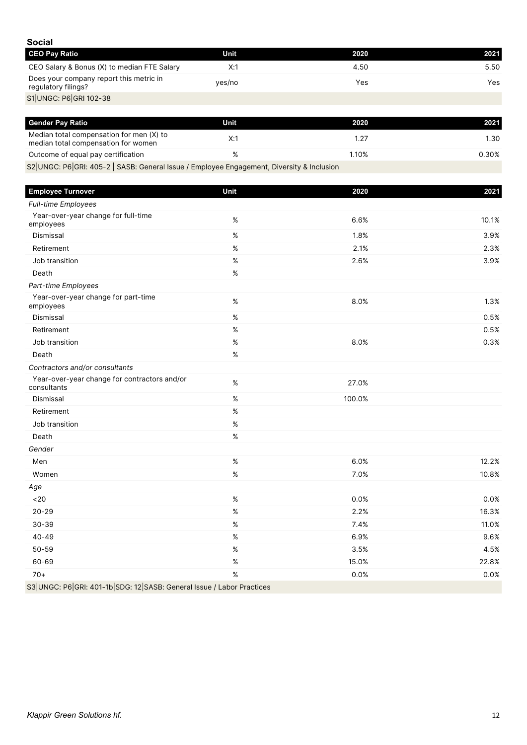<span id="page-11-0"></span>

| <b>Social</b>                                                  |        |      |      |
|----------------------------------------------------------------|--------|------|------|
| <b>CEO Pay Ratio</b>                                           | Unit   | 2020 | 2021 |
| CEO Salary & Bonus (X) to median FTE Salary                    | X:1    | 4.50 | 5.50 |
| Does your company report this metric in<br>regulatory filings? | yes/no | Yes  | Yes  |
| S1 UNGC: P6 GRI 102-38                                         |        |      |      |

| <b>Gender Pay Ratio</b>                                                         | Unit | 2020  | 2021  |
|---------------------------------------------------------------------------------|------|-------|-------|
| Median total compensation for men (X) to<br>median total compensation for women | X:   | 1.27  | I.30  |
| Outcome of equal pay certification                                              |      | 1.10% | 0.30% |
| $\sim$                                                                          |      |       |       |

S2|UNGC: P6|GRI: 405-2 | SASB: General Issue / Employee Engagement, Diversity & Inclusion

| <b>Employee Turnover</b>                                              | Unit | 2020   | 2021  |
|-----------------------------------------------------------------------|------|--------|-------|
| Full-time Employees                                                   |      |        |       |
| Year-over-year change for full-time<br>employees                      | $\%$ | 6.6%   | 10.1% |
| Dismissal                                                             | $\%$ | 1.8%   | 3.9%  |
| Retirement                                                            | %    | 2.1%   | 2.3%  |
| Job transition                                                        | $\%$ | 2.6%   | 3.9%  |
| Death                                                                 | $\%$ |        |       |
| Part-time Employees                                                   |      |        |       |
| Year-over-year change for part-time<br>employees                      | $\%$ | 8.0%   | 1.3%  |
| Dismissal                                                             | $\%$ |        | 0.5%  |
| Retirement                                                            | $\%$ |        | 0.5%  |
| Job transition                                                        | $\%$ | 8.0%   | 0.3%  |
| Death                                                                 | %    |        |       |
| Contractors and/or consultants                                        |      |        |       |
| Year-over-year change for contractors and/or<br>consultants           | $\%$ | 27.0%  |       |
| Dismissal                                                             | $\%$ | 100.0% |       |
| Retirement                                                            | $\%$ |        |       |
| Job transition                                                        | $\%$ |        |       |
| Death                                                                 | $\%$ |        |       |
| Gender                                                                |      |        |       |
| Men                                                                   | $\%$ | 6.0%   | 12.2% |
| Women                                                                 | $\%$ | 7.0%   | 10.8% |
| Age                                                                   |      |        |       |
| <20                                                                   | $\%$ | 0.0%   | 0.0%  |
| $20 - 29$                                                             | $\%$ | 2.2%   | 16.3% |
| $30 - 39$                                                             | $\%$ | 7.4%   | 11.0% |
| $40 - 49$                                                             | $\%$ | 6.9%   | 9.6%  |
| $50 - 59$                                                             | $\%$ | 3.5%   | 4.5%  |
| 60-69                                                                 | %    | 15.0%  | 22.8% |
| $70+$                                                                 | $\%$ | 0.0%   | 0.0%  |
| S3 UNGC: P6 GRI: 401-1b SDG: 12 SASB: General Issue / Labor Practices |      |        |       |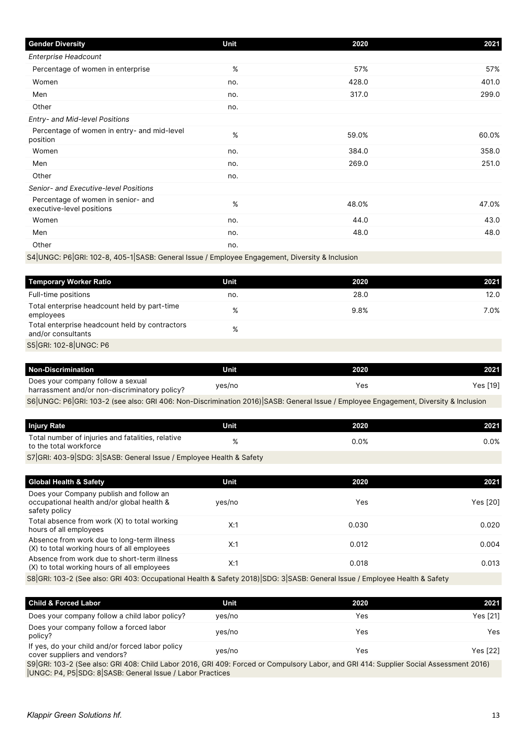| <b>Gender Diversity</b>                                         | Unit | 2020  | 2021  |
|-----------------------------------------------------------------|------|-------|-------|
| <b>Enterprise Headcount</b>                                     |      |       |       |
| Percentage of women in enterprise                               | %    | 57%   | 57%   |
| Women                                                           | no.  | 428.0 | 401.0 |
| Men                                                             | no.  | 317.0 | 299.0 |
| Other                                                           | no.  |       |       |
| Entry- and Mid-level Positions                                  |      |       |       |
| Percentage of women in entry- and mid-level<br>position         | %    | 59.0% | 60.0% |
| Women                                                           | no.  | 384.0 | 358.0 |
| Men                                                             | no.  | 269.0 | 251.0 |
| Other                                                           | no.  |       |       |
| Senior- and Executive-level Positions                           |      |       |       |
| Percentage of women in senior- and<br>executive-level positions | %    | 48.0% | 47.0% |
| Women                                                           | no.  | 44.0  | 43.0  |
| Men                                                             | no.  | 48.0  | 48.0  |
| Other                                                           | no.  |       |       |

S4|UNGC: P6|GRI: 102-8, 405-1|SASB: General Issue / Employee Engagement, Diversity & Inclusion

| <b>Temporary Worker Ratio</b>                                        | Unit | 2020 | 2021 |
|----------------------------------------------------------------------|------|------|------|
| Full-time positions                                                  | no.  | 28.0 | 12.0 |
| Total enterprise headcount held by part-time<br>employees            | $\%$ | 9.8% | 7.0% |
| Total enterprise headcount held by contractors<br>and/or consultants | %    |      |      |
| S5 GRI: 102-8 UNGC: P6                                               |      |      |      |

| <b>Non-Discrimination</b>                                                          | Unit   | 2020 | 2021     |
|------------------------------------------------------------------------------------|--------|------|----------|
| Does your company follow a sexual<br>harrassment and/or non-discriminatory policy? | yes/no | Yes  | Yes [19] |

S6|UNGC: P6|GRI: 103-2 (see also: GRI 406: Non-Discrimination 2016)|SASB: General Issue / Employee Engagement, Diversity & Inclusion

| <b>Injury Rate</b>                                                          | Unit | 2020 | 2021 |
|-----------------------------------------------------------------------------|------|------|------|
| Total number of injuries and fatalities, relative<br>to the total workforce |      | 0.0% | 0.0% |
| S7 GRI: 403-9 SDG: 3 SASB: General Issue / Employee Health & Safety         |      |      |      |

| <b>Global Health &amp; Safety</b>                                                                      | Unit   | 2020  | 2021     |
|--------------------------------------------------------------------------------------------------------|--------|-------|----------|
| Does your Company publish and follow an<br>occupational health and/or global health &<br>safety policy | yes/no | Yes   | Yes [20] |
| Total absence from work (X) to total working<br>hours of all employees                                 | X:1    | 0.030 | 0.020    |
| Absence from work due to long-term illness<br>(X) to total working hours of all employees              | X:1    | 0.012 | 0.004    |
| Absence from work due to short-term illness<br>(X) to total working hours of all employees             | X:1    | 0.018 | 0.013    |
|                                                                                                        |        |       |          |

S8|GRI: 103-2 (See also: GRI 403: Occupational Health & Safety 2018)|SDG: 3|SASB: General Issue / Employee Health & Safety

| <b>Child &amp; Forced Labor</b>                                                  | Unit   |   | 2020 | 2021         |
|----------------------------------------------------------------------------------|--------|---|------|--------------|
| Does your company follow a child labor policy?                                   | ves/no |   | Yes  | Yes [21]     |
| Does your company follow a forced labor<br>policy?                               | ves/no |   | Yes  | Yes.         |
| If yes, do your child and/or forced labor policy<br>cover suppliers and vendors? | yes/no |   | Yes  | Yes [22]     |
|                                                                                  |        | . |      | . <b>.</b> . |

S9|GRI: 103-2 (See also: GRI 408: Child Labor 2016, GRI 409: Forced or Compulsory Labor, and GRI 414: Supplier Social Assessment 2016) |UNGC: P4, P5|SDG: 8|SASB: General Issue / Labor Practices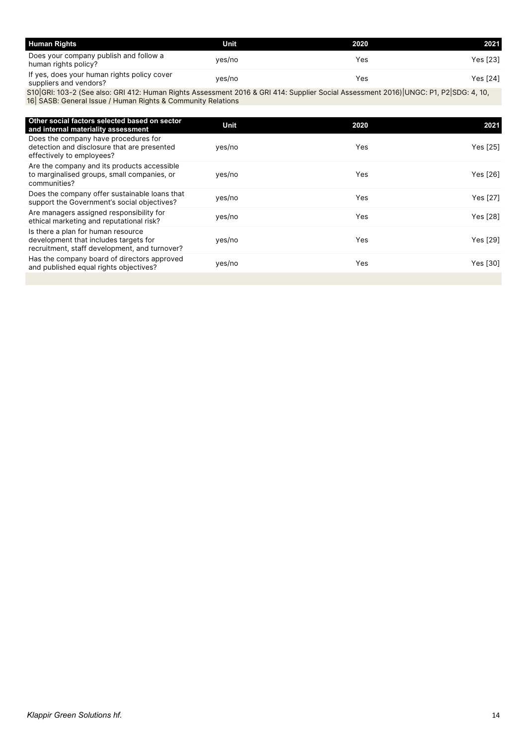| <b>Human Rights</b>                                                   | Unit   | 2020 | 2021     |
|-----------------------------------------------------------------------|--------|------|----------|
| Does your company publish and follow a<br>human rights policy?        | yes/no | Yes  | Yes [23] |
| If yes, does your human rights policy cover<br>suppliers and vendors? | yes/no | Yes  | Yes [24] |

S10|GRI: 103-2 (See also: GRI 412: Human Rights Assessment 2016 & GRI 414: Supplier Social Assessment 2016)|UNGC: P1, P2|SDG: 4, 10, 16| SASB: General Issue / Human Rights & Community Relations

| 2020 | 2021                                                             |
|------|------------------------------------------------------------------|
| Yes  | Yes [25]                                                         |
| Yes  | Yes [26]                                                         |
| Yes  | Yes [27]                                                         |
| Yes  | Yes [28]                                                         |
| Yes  | Yes [29]                                                         |
| Yes  | Yes [30]                                                         |
|      | Unit<br>yes/no<br>yes/no<br>yes/no<br>yes/no<br>yes/no<br>yes/no |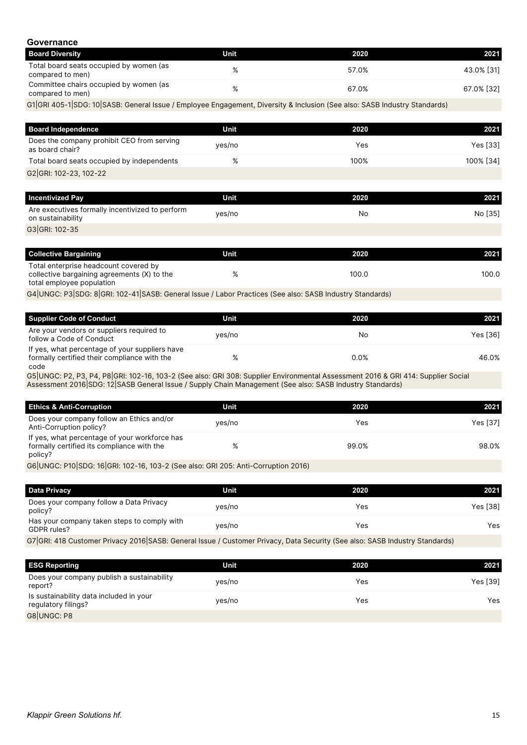<span id="page-14-0"></span>

| Governance                                                                                                                |        |           |            |
|---------------------------------------------------------------------------------------------------------------------------|--------|-----------|------------|
| <b>Board Diversity</b>                                                                                                    | Unit   | 2020      | 2021       |
| Total board seats occupied by women (as<br>compared to men)                                                               | %      | 57.0%     | 43.0% [31] |
| Committee chairs occupied by women (as<br>compared to men)                                                                | %      | 67.0%     | 67.0% [32] |
| G1 GRI 405-1 SDG: 10 SASB: General Issue / Employee Engagement, Diversity & Inclusion (See also: SASB Industry Standards) |        |           |            |
|                                                                                                                           |        |           |            |
| <b>Board Independence</b>                                                                                                 | Unit   | 2020      | 2021       |
| Does the company prohibit CEO from serving<br>as board chair?                                                             | yes/no | Yes       | Yes [33]   |
| Total board seats occupied by independents                                                                                | %      | 100%      | 100% [34]  |
| G2 GRI: 102-23, 102-22                                                                                                    |        |           |            |
|                                                                                                                           |        |           |            |
| <b>Incentivized Pay</b>                                                                                                   | Unit   | 2020      | 2021       |
| Are executives formally incentivized to perform<br>on sustainability                                                      | yes/no | <b>No</b> | No [35]    |
| G3 GRI: 102-35                                                                                                            |        |           |            |
|                                                                                                                           |        |           |            |
| <b>Collective Bargaining</b>                                                                                              | Unit   | 2020      | 2021       |
| Total enterprise headcount covered by<br>collective bargaining agreements (X) to the<br>total employee population         | %      | 100.0     | 100.C      |
| G4 UNGC: P3 SDG: 8 GRI: 102-41 SASB: General Issue / Labor Practices (See also: SASB Industry Standards)                  |        |           |            |
|                                                                                                                           |        |           |            |
| <b>Supplier Code of Conduct</b>                                                                                           | Unit   | 2020      | 2021       |
| Are your vendors or suppliers required to<br>follow a Code of Conduct                                                     | yes/no | No        | Yes [36]   |

| If yes, what percentage of your suppliers have                                                                                |      |       |
|-------------------------------------------------------------------------------------------------------------------------------|------|-------|
| formally certified their compliance with the                                                                                  | 0.0% | 46.0% |
| code                                                                                                                          |      |       |
| CELLINGC: D2 D2 D4 D8 CDI: 102-16 103-2 (See also: CDI 308: Supplier Environmental Assessment 2016 & CDI 111: Supplier Social |      |       |

G5|UNGC: P2, P3, P4, P8|GRI: 102-16, 103-2 (See also: GRI 308: Supplier Environmental Assessment 2016 & GRI 414: Supplier Social Assessment 2016|SDG: 12|SASB General Issue / Supply Chain Management (See also: SASB Industry Standards)

| <b>Ethics &amp; Anti-Corruption</b>                                                                    | Unit   | 2020  | 2021            |
|--------------------------------------------------------------------------------------------------------|--------|-------|-----------------|
| Does your company follow an Ethics and/or<br>Anti-Corruption policy?                                   | yes/no | Yes   | <b>Yes [37]</b> |
| If yes, what percentage of your workforce has<br>formally certified its compliance with the<br>policy? |        | 99.0% | 98.0%           |
| CellINCC: D10 SDC: 16 CDI: 102-16 102-2 (See also: CDI 205: Anti-Corruption 2016)                      |        |       |                 |

G6|UNGC: P10|SDG: 16|GRI: 102-16, 103-2 (See also: GRI 205: Anti-Corruption 2016)

| <b>Data Privacy</b>                                        | Unit   | 2020 | 2021     |
|------------------------------------------------------------|--------|------|----------|
| Does your company follow a Data Privacy<br>policy?         | yes/no | Yes  | Yes [38] |
| Has your company taken steps to comply with<br>GDPR rules? | yes/no | Yes  | Yes.     |

G7|GRI: 418 Customer Privacy 2016|SASB: General Issue / Customer Privacy, Data Security (See also: SASB Industry Standards)

| <b>ESG Reporting</b>                                           | Unit   | 2020 | 2021     |
|----------------------------------------------------------------|--------|------|----------|
| Does your company publish a sustainability<br>report?          | yes/no | Yes  | Yes [39] |
| Is sustainability data included in your<br>regulatory filings? | yes/no | Yes  | Yes      |
| G8UNGC: P8                                                     |        |      |          |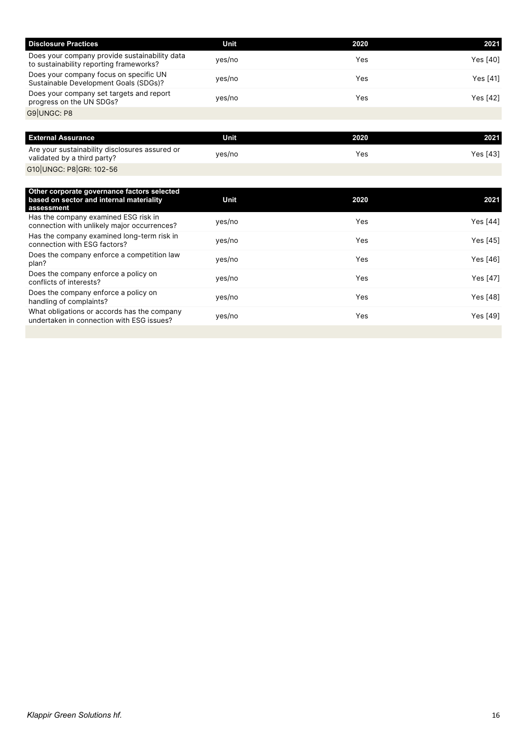| <b>Disclosure Practices</b>                                                              | Unit   | 2020 | 2021     |
|------------------------------------------------------------------------------------------|--------|------|----------|
| Does your company provide sustainability data<br>to sustainability reporting frameworks? | yes/no | Yes  | Yes [40] |
| Does your company focus on specific UN<br>Sustainable Development Goals (SDGs)?          | yes/no | Yes  | Yes [41] |
| Does your company set targets and report<br>progress on the UN SDGs?                     | yes/no | Yes  | Yes [42] |
| G9 UNGC: P8                                                                              |        |      |          |

| <b>External Assurance</b>                                                     | Unit   | 2020 | 2021     |
|-------------------------------------------------------------------------------|--------|------|----------|
| Are your sustainability disclosures assured or<br>validated by a third party? | yes/no | Yes  | Yes [43] |
| G10 UNGC: P8 GRI: 102-56                                                      |        |      |          |

| Other corporate governance factors selected<br>based on sector and internal materiality<br>assessment | Unit   | 2020 | 2021            |
|-------------------------------------------------------------------------------------------------------|--------|------|-----------------|
| Has the company examined ESG risk in<br>connection with unlikely major occurrences?                   | yes/no | Yes  | Yes [44]        |
| Has the company examined long-term risk in<br>connection with ESG factors?                            | yes/no | Yes  | Yes [45]        |
| Does the company enforce a competition law<br>plan?                                                   | yes/no | Yes  | Yes [46]        |
| Does the company enforce a policy on<br>conflicts of interests?                                       | yes/no | Yes  | <b>Yes [47]</b> |
| Does the company enforce a policy on<br>handling of complaints?                                       | yes/no | Yes  | Yes [48]        |
| What obligations or accords has the company<br>undertaken in connection with ESG issues?              | yes/no | Yes  | Yes [49]        |
|                                                                                                       |        |      |                 |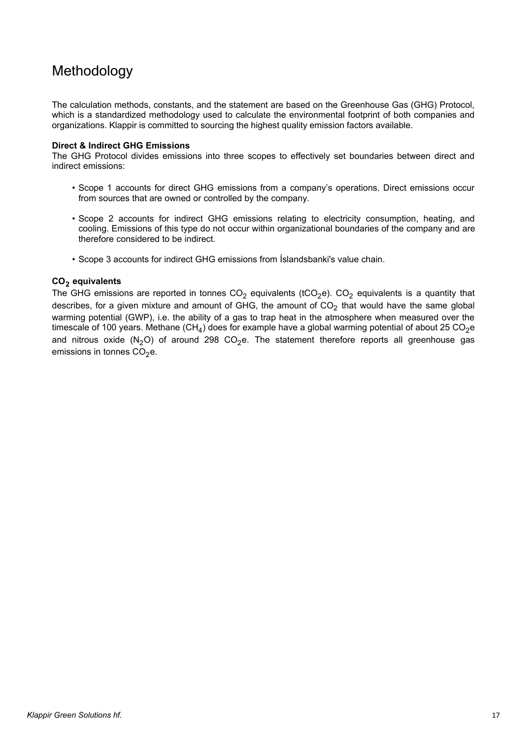### <span id="page-16-0"></span>Methodology

The calculation methods, constants, and the statement are based on the Greenhouse Gas (GHG) Protocol, which is a standardized methodology used to calculate the environmental footprint of both companies and organizations. Klappir is committed to sourcing the highest quality emission factors available.

#### **Direct & Indirect GHG Emissions**

The GHG Protocol divides emissions into three scopes to effectively set boundaries between direct and indirect emissions:

- $\bullet$  Scope 1 accounts for direct GHG emissions from a company's operations. Direct emissions occur from sources that are owned or controlled by the company.
- $\bullet$  Scope 2 accounts for indirect GHG emissions relating to electricity consumption, heating, and cooling. Emissions of this type do not occur within organizational boundaries of the company and are therefore considered to be indirect.
- Scope 3 accounts for indirect GHG emissions from Íslandsbanki's value chain.

#### **CO<sup>2</sup> equivalents**

The GHG emissions are reported in tonnes  $CO<sub>2</sub>$  equivalents (tCO<sub>2</sub>e). CO<sub>2</sub> equivalents is a quantity that describes, for a given mixture and amount of GHG, the amount of  $CO<sub>2</sub>$  that would have the same global warming potential (GWP), i.e. the ability of a gas to trap heat in the atmosphere when measured over the timescale of 100 years. Methane (CH<sub>4</sub>) does for example have a global warming potential of about 25 CO<sub>2</sub>e and nitrous oxide  $(N_2O)$  of around 298 CO<sub>2</sub>e. The statement therefore reports all greenhouse gas emissions in tonnes  $CO<sub>2</sub>e$ .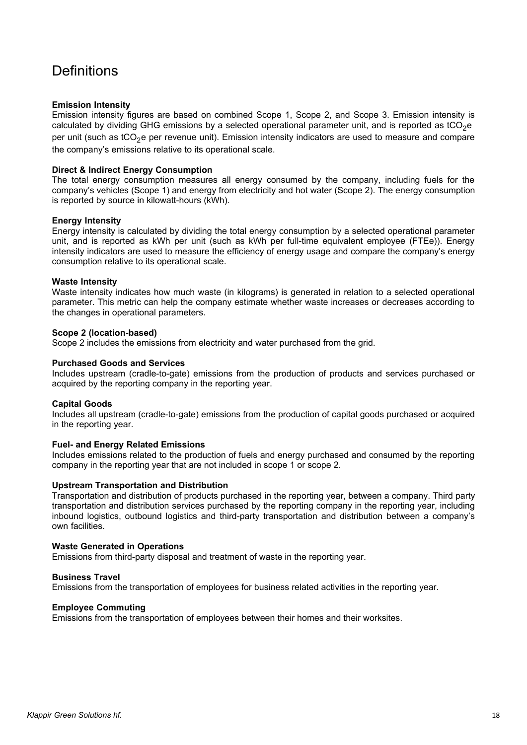## <span id="page-17-0"></span>**Definitions**

#### **Emission Intensity**

Emission intensity figures are based on combined Scope 1, Scope 2, and Scope 3. Emission intensity is calculated by dividing GHG emissions by a selected operational parameter unit, and is reported as  $tCO<sub>2</sub>e$ per unit (such as tCO<sub>2</sub>e per revenue unit). Emission intensity indicators are used to measure and compare the company's emissions relative to its operational scale.

#### **Direct & Indirect Energy Consumption**

The total energy consumption measures all energy consumed by the company, including fuels for the company's vehicles (Scope 1) and energy from electricity and hot water (Scope 2). The energy consumption is reported by source in kilowatt-hours (kWh).

#### **Energy Intensity**

Energy intensity is calculated by dividing the total energy consumption by a selected operational parameter unit, and is reported as kWh per unit (such as kWh per full-time equivalent employee (FTEe)). Energy intensity indicators are used to measure the efficiency of energy usage and compare the company's energy consumption relative to its operational scale.

#### **Waste Intensity**

Waste intensity indicates how much waste (in kilograms) is generated in relation to a selected operational parameter. This metric can help the company estimate whether waste increases or decreases according to the changes in operational parameters.

#### **Scope 2 (location-based)**

Scope 2 includes the emissions from electricity and water purchased from the grid.

#### **Purchased Goods and Services**

Includes upstream (cradle-to-gate) emissions from the production of products and services purchased or acquired by the reporting company in the reporting year.

#### **Capital Goods**

Includes all upstream (cradle-to-gate) emissions from the production of capital goods purchased or acquired in the reporting year.

#### **Fuel- and Energy Related Emissions**

Includes emissions related to the production of fuels and energy purchased and consumed by the reporting company in the reporting year that are not included in scope 1 or scope 2.

#### **Upstream Transportation and Distribution**

Transportation and distribution of products purchased in the reporting year, between a company. Third party transportation and distribution services purchased by the reporting company in the reporting year, including inbound logistics, outbound logistics and third-party transportation and distribution between a company's own facilities.

#### **Waste Generated in Operations**

Emissions from third-party disposal and treatment of waste in the reporting year.

#### **Business Travel**

Emissions from the transportation of employees for business related activities in the reporting year.

#### **Employee Commuting**

Emissions from the transportation of employees between their homes and their worksites.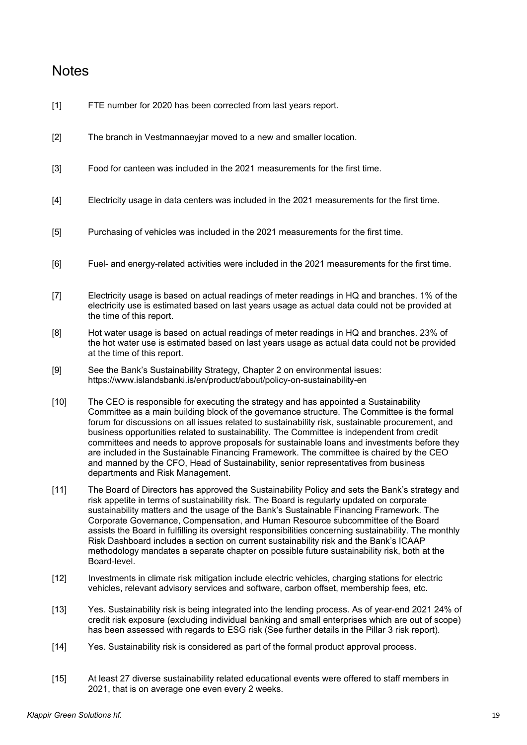### <span id="page-18-0"></span>Notes

- [1] FTE number for 2020 has been corrected from last years report.
- [2] The branch in Vestmannaeyjar moved to a new and smaller location.
- [3] Food for canteen was included in the 2021 measurements for the first time.
- [4] Electricity usage in data centers was included in the 2021 measurements for the first time.
- [5] Purchasing of vehicles was included in the 2021 measurements for the first time.
- [6] Fuel- and energy-related activities were included in the 2021 measurements for the first time.
- [7] Electricity usage is based on actual readings of meter readings in HQ and branches. 1% of the electricity use is estimated based on last years usage as actual data could not be provided at the time of this report.
- [8] Hot water usage is based on actual readings of meter readings in HQ and branches. 23% of the hot water use is estimated based on last years usage as actual data could not be provided at the time of this report.
- [9] See the Bank's Sustainability Strategy, Chapter 2 on environmental issues: https://www.islandsbanki.is/en/product/about/policy-on-sustainability-en
- [10] The CEO is responsible for executing the strategy and has appointed a Sustainability Committee as a main building block of the governance structure. The Committee is the formal forum for discussions on all issues related to sustainability risk, sustainable procurement, and business opportunities related to sustainability. The Committee is independent from credit committees and needs to approve proposals for sustainable loans and investments before they are included in the Sustainable Financing Framework. The committee is chaired by the CEO and manned by the CFO, Head of Sustainability, senior representatives from business departments and Risk Management.
- [11] The Board of Directors has approved the Sustainability Policy and sets the Bank's strategy and risk appetite in terms of sustainability risk. The Board is regularly updated on corporate sustainability matters and the usage of the Bank's Sustainable Financing Framework. The Corporate Governance, Compensation, and Human Resource subcommittee of the Board assists the Board in fulfilling its oversight responsibilities concerning sustainability. The monthly Risk Dashboard includes a section on current sustainability risk and the Bank's ICAAP methodology mandates a separate chapter on possible future sustainability risk, both at the Board-level.
- [12] Investments in climate risk mitigation include electric vehicles, charging stations for electric vehicles, relevant advisory services and software, carbon offset, membership fees, etc.
- [13] Yes. Sustainability risk is being integrated into the lending process. As of year-end 2021 24% of credit risk exposure (excluding individual banking and small enterprises which are out of scope) has been assessed with regards to ESG risk (See further details in the Pillar 3 risk report).
- [14] Yes. Sustainability risk is considered as part of the formal product approval process.
- [15] At least 27 diverse sustainability related educational events were offered to staff members in 2021, that is on average one even every 2 weeks.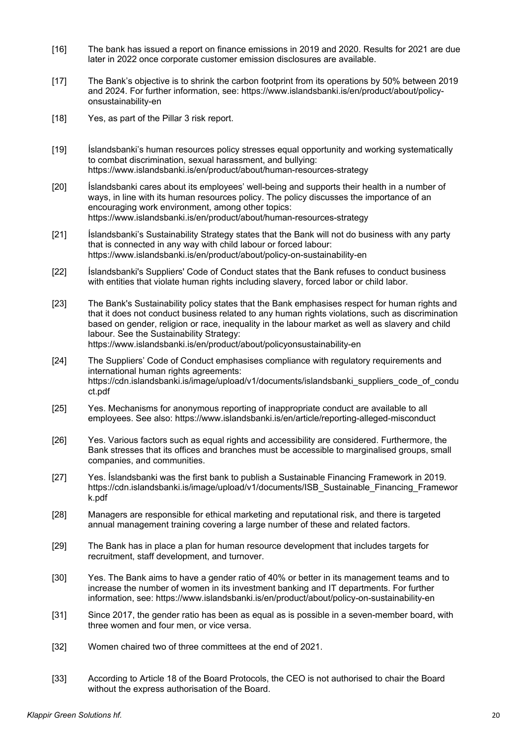- [16] The bank has issued a report on finance emissions in 2019 and 2020. Results for 2021 are due later in 2022 once corporate customer emission disclosures are available.
- [17] The Bank's objective is to shrink the carbon footprint from its operations by 50% between 2019 and 2024. For further information, see: https://www.islandsbanki.is/en/product/about/policyonsustainability-en
- [18] Yes, as part of the Pillar 3 risk report.
- [19] Íslandsbanki's human resources policy stresses equal opportunity and working systematically to combat discrimination, sexual harassment, and bullying: https://www.islandsbanki.is/en/product/about/human-resources-strategy
- [20] Íslandsbanki cares about its employees' well-being and supports their health in a number of ways, in line with its human resources policy. The policy discusses the importance of an encouraging work environment, among other topics: https://www.islandsbanki.is/en/product/about/human-resources-strategy
- [21] Íslandsbanki's Sustainability Strategy states that the Bank will not do business with any party that is connected in any way with child labour or forced labour: https://www.islandsbanki.is/en/product/about/policy-on-sustainability-en
- [22] Íslandsbanki's Suppliers' Code of Conduct states that the Bank refuses to conduct business with entities that violate human rights including slavery, forced labor or child labor.
- [23] The Bank's Sustainability policy states that the Bank emphasises respect for human rights and that it does not conduct business related to any human rights violations, such as discrimination based on gender, religion or race, inequality in the labour market as well as slavery and child labour. See the Sustainability Strategy: https://www.islandsbanki.is/en/product/about/policyonsustainability-en
- [24] The Suppliers' Code of Conduct emphasises compliance with regulatory requirements and international human rights agreements: https://cdn.islandsbanki.is/image/upload/v1/documents/islandsbanki\_suppliers\_code\_of\_condu ct.pdf
- [25] Yes. Mechanisms for anonymous reporting of inappropriate conduct are available to all employees. See also: https://www.islandsbanki.is/en/article/reporting-alleged-misconduct
- [26] Yes. Various factors such as equal rights and accessibility are considered. Furthermore, the Bank stresses that its offices and branches must be accessible to marginalised groups, small companies, and communities.
- [27] Yes. Íslandsbanki was the first bank to publish a Sustainable Financing Framework in 2019. https://cdn.islandsbanki.is/image/upload/v1/documents/ISB\_Sustainable\_Financing\_Framewor k.pdf
- [28] Managers are responsible for ethical marketing and reputational risk, and there is targeted annual management training covering a large number of these and related factors.
- [29] The Bank has in place a plan for human resource development that includes targets for recruitment, staff development, and turnover.
- [30] Yes. The Bank aims to have a gender ratio of 40% or better in its management teams and to increase the number of women in its investment banking and IT departments. For further information, see: https://www.islandsbanki.is/en/product/about/policy-on-sustainability-en
- [31] Since 2017, the gender ratio has been as equal as is possible in a seven-member board, with three women and four men, or vice versa.
- [32] Women chaired two of three committees at the end of 2021.
- [33] According to Article 18 of the Board Protocols, the CEO is not authorised to chair the Board without the express authorisation of the Board.